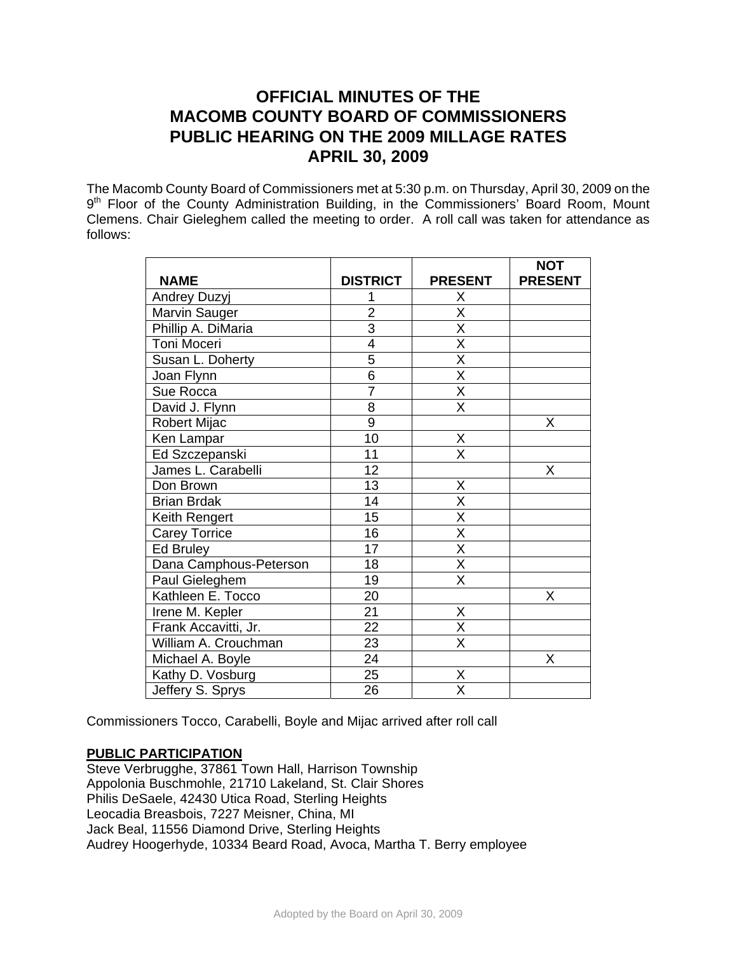# **OFFICIAL MINUTES OF THE MACOMB COUNTY BOARD OF COMMISSIONERS PUBLIC HEARING ON THE 2009 MILLAGE RATES APRIL 30, 2009**

The Macomb County Board of Commissioners met at 5:30 p.m. on Thursday, April 30, 2009 on the 9<sup>th</sup> Floor of the County Administration Building, in the Commissioners' Board Room, Mount Clemens. Chair Gieleghem called the meeting to order. A roll call was taken for attendance as follows:

|                        |                 |                                     | <b>NOT</b>     |
|------------------------|-----------------|-------------------------------------|----------------|
| <b>NAME</b>            | <b>DISTRICT</b> | <b>PRESENT</b>                      | <b>PRESENT</b> |
| <b>Andrey Duzyj</b>    |                 | Χ                                   |                |
| Marvin Sauger          | $\overline{2}$  | $\overline{\mathsf{x}}$             |                |
| Phillip A. DiMaria     | $\overline{3}$  | $\overline{\mathsf{x}}$             |                |
| Toni Moceri            | 4               | $\overline{\mathsf{x}}$             |                |
| Susan L. Doherty       | 5               | $\overline{\mathsf{x}}$             |                |
| Joan Flynn             | $\overline{6}$  | $\overline{\mathsf{x}}$             |                |
| Sue Rocca              | $\overline{7}$  | $\overline{\mathsf{x}}$             |                |
| David J. Flynn         | $\overline{8}$  | $\overline{\mathsf{x}}$             |                |
| Robert Mijac           | $\overline{9}$  |                                     | Χ              |
| Ken Lampar             | 10              | X                                   |                |
| Ed Szczepanski         | 11              | $\overline{\mathsf{x}}$             |                |
| James L. Carabelli     | 12              |                                     | Χ              |
| Don Brown              | 13              | X                                   |                |
| <b>Brian Brdak</b>     | 14              | $\overline{\mathsf{x}}$             |                |
| Keith Rengert          | 15              | $\overline{\mathsf{X}}$             |                |
| <b>Carey Torrice</b>   | 16              | $\frac{\overline{X}}{\overline{X}}$ |                |
| Ed Bruley              | 17              |                                     |                |
| Dana Camphous-Peterson | 18              | $\overline{\mathsf{x}}$             |                |
| Paul Gieleghem         | 19              | X                                   |                |
| Kathleen E. Tocco      | 20              |                                     | X              |
| Irene M. Kepler        | 21              | Χ                                   |                |
| Frank Accavitti, Jr.   | 22              | X                                   |                |
| William A. Crouchman   | 23              | $\overline{\mathsf{x}}$             |                |
| Michael A. Boyle       | 24              |                                     | X              |
| Kathy D. Vosburg       | 25              | Χ                                   |                |
| Jeffery S. Sprys       | 26              | $\overline{\mathsf{x}}$             |                |

Commissioners Tocco, Carabelli, Boyle and Mijac arrived after roll call

## **PUBLIC PARTICIPATION**

Steve Verbrugghe, 37861 Town Hall, Harrison Township Appolonia Buschmohle, 21710 Lakeland, St. Clair Shores Philis DeSaele, 42430 Utica Road, Sterling Heights Leocadia Breasbois, 7227 Meisner, China, MI Jack Beal, 11556 Diamond Drive, Sterling Heights Audrey Hoogerhyde, 10334 Beard Road, Avoca, Martha T. Berry employee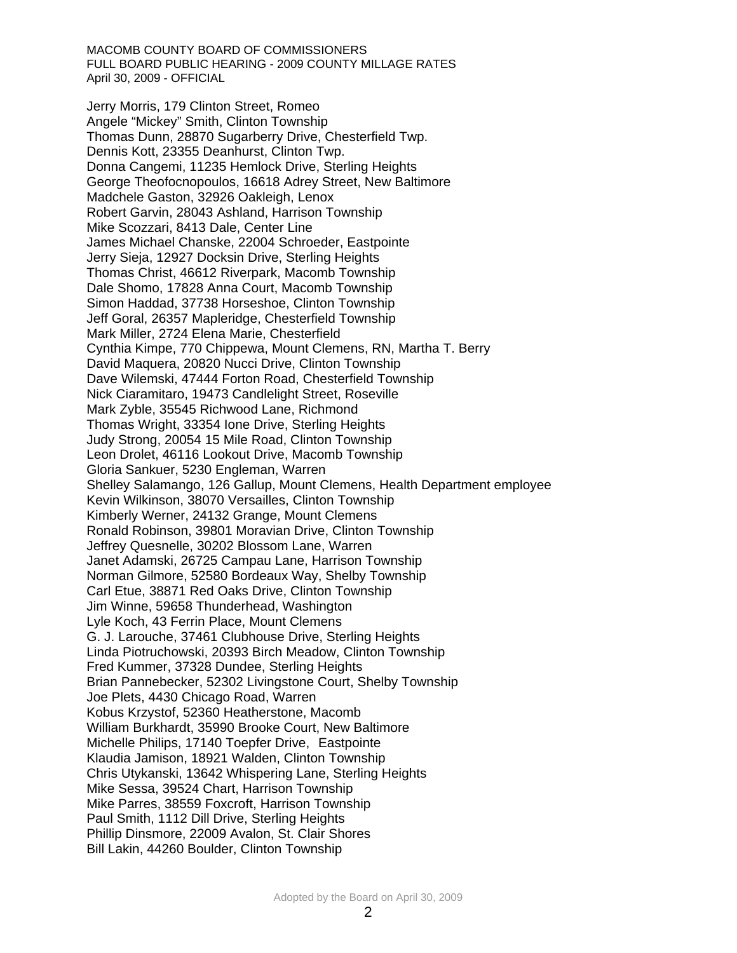MACOMB COUNTY BOARD OF COMMISSIONERS FULL BOARD PUBLIC HEARING - 2009 COUNTY MILLAGE RATES April 30, 2009 - OFFICIAL

Jerry Morris, 179 Clinton Street, Romeo Angele "Mickey" Smith, Clinton Township Thomas Dunn, 28870 Sugarberry Drive, Chesterfield Twp. Dennis Kott, 23355 Deanhurst, Clinton Twp. Donna Cangemi, 11235 Hemlock Drive, Sterling Heights George Theofocnopoulos, 16618 Adrey Street, New Baltimore Madchele Gaston, 32926 Oakleigh, Lenox Robert Garvin, 28043 Ashland, Harrison Township Mike Scozzari, 8413 Dale, Center Line James Michael Chanske, 22004 Schroeder, Eastpointe Jerry Sieja, 12927 Docksin Drive, Sterling Heights Thomas Christ, 46612 Riverpark, Macomb Township Dale Shomo, 17828 Anna Court, Macomb Township Simon Haddad, 37738 Horseshoe, Clinton Township Jeff Goral, 26357 Mapleridge, Chesterfield Township Mark Miller, 2724 Elena Marie, Chesterfield Cynthia Kimpe, 770 Chippewa, Mount Clemens, RN, Martha T. Berry David Maquera, 20820 Nucci Drive, Clinton Township Dave Wilemski, 47444 Forton Road, Chesterfield Township Nick Ciaramitaro, 19473 Candlelight Street, Roseville Mark Zyble, 35545 Richwood Lane, Richmond Thomas Wright, 33354 Ione Drive, Sterling Heights Judy Strong, 20054 15 Mile Road, Clinton Township Leon Drolet, 46116 Lookout Drive, Macomb Township Gloria Sankuer, 5230 Engleman, Warren Shelley Salamango, 126 Gallup, Mount Clemens, Health Department employee Kevin Wilkinson, 38070 Versailles, Clinton Township Kimberly Werner, 24132 Grange, Mount Clemens Ronald Robinson, 39801 Moravian Drive, Clinton Township Jeffrey Quesnelle, 30202 Blossom Lane, Warren Janet Adamski, 26725 Campau Lane, Harrison Township Norman Gilmore, 52580 Bordeaux Way, Shelby Township Carl Etue, 38871 Red Oaks Drive, Clinton Township Jim Winne, 59658 Thunderhead, Washington Lyle Koch, 43 Ferrin Place, Mount Clemens G. J. Larouche, 37461 Clubhouse Drive, Sterling Heights Linda Piotruchowski, 20393 Birch Meadow, Clinton Township Fred Kummer, 37328 Dundee, Sterling Heights Brian Pannebecker, 52302 Livingstone Court, Shelby Township Joe Plets, 4430 Chicago Road, Warren Kobus Krzystof, 52360 Heatherstone, Macomb William Burkhardt, 35990 Brooke Court, New Baltimore Michelle Philips, 17140 Toepfer Drive, Eastpointe Klaudia Jamison, 18921 Walden, Clinton Township Chris Utykanski, 13642 Whispering Lane, Sterling Heights Mike Sessa, 39524 Chart, Harrison Township Mike Parres, 38559 Foxcroft, Harrison Township Paul Smith, 1112 Dill Drive, Sterling Heights Phillip Dinsmore, 22009 Avalon, St. Clair Shores Bill Lakin, 44260 Boulder, Clinton Township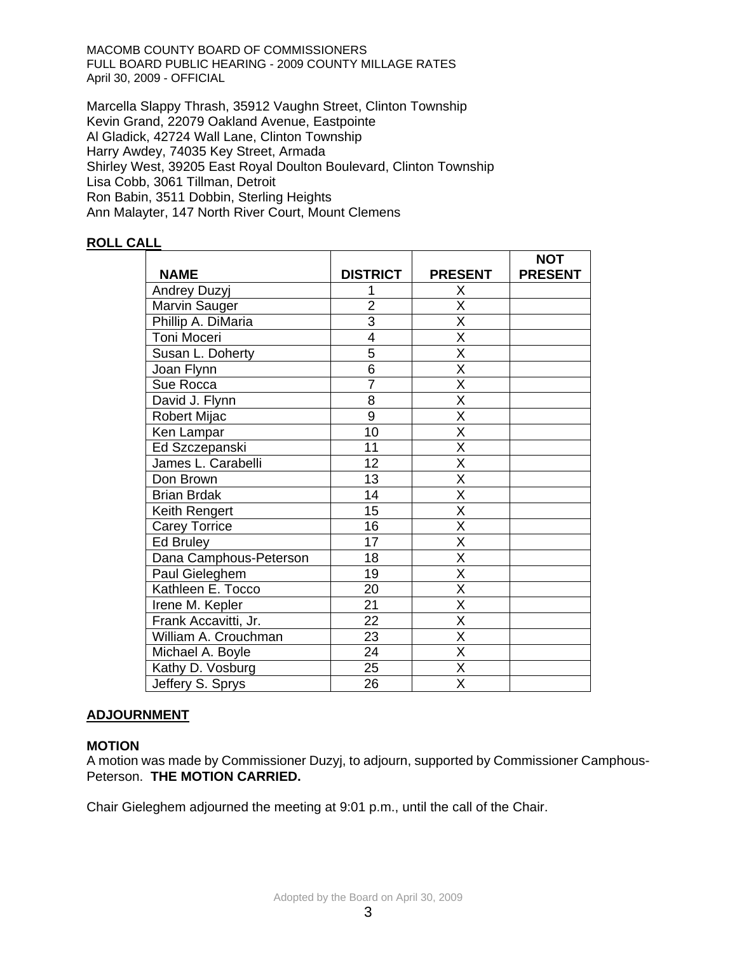MACOMB COUNTY BOARD OF COMMISSIONERS FULL BOARD PUBLIC HEARING - 2009 COUNTY MILLAGE RATES April 30, 2009 - OFFICIAL

Marcella Slappy Thrash, 35912 Vaughn Street, Clinton Township Kevin Grand, 22079 Oakland Avenue, Eastpointe Al Gladick, 42724 Wall Lane, Clinton Township Harry Awdey, 74035 Key Street, Armada Shirley West, 39205 East Royal Doulton Boulevard, Clinton Township Lisa Cobb, 3061 Tillman, Detroit Ron Babin, 3511 Dobbin, Sterling Heights Ann Malayter, 147 North River Court, Mount Clemens

## **ROLL CALL**

|                        |                 |                         | <b>NOT</b>     |
|------------------------|-----------------|-------------------------|----------------|
| <b>NAME</b>            | <b>DISTRICT</b> | <b>PRESENT</b>          | <b>PRESENT</b> |
| <b>Andrey Duzyj</b>    |                 | X                       |                |
| Marvin Sauger          | $\overline{2}$  | $\overline{\mathsf{X}}$ |                |
| Phillip A. DiMaria     | $\overline{3}$  | $\overline{\mathsf{x}}$ |                |
| Toni Moceri            | $\overline{4}$  | $\overline{\mathsf{x}}$ |                |
| Susan L. Doherty       | 5               | X                       |                |
| Joan Flynn             | 6               | $\overline{\mathsf{x}}$ |                |
| Sue Rocca              | $\overline{7}$  | $\overline{\mathsf{x}}$ |                |
| David J. Flynn         | 8               | X                       |                |
| Robert Mijac           | 9               | $\overline{\mathsf{X}}$ |                |
| Ken Lampar             | 10              | $\overline{\mathsf{x}}$ |                |
| Ed Szczepanski         | 11              | $\overline{\mathsf{x}}$ |                |
| James L. Carabelli     | 12              | $\overline{\mathsf{x}}$ |                |
| Don Brown              | 13              | $\overline{\mathsf{x}}$ |                |
| <b>Brian Brdak</b>     | 14              | $\overline{\mathsf{x}}$ |                |
| Keith Rengert          | 15              | X                       |                |
| <b>Carey Torrice</b>   | 16              | $\overline{\mathsf{x}}$ |                |
| Ed Bruley              | 17              | X                       |                |
| Dana Camphous-Peterson | 18              | X                       |                |
| Paul Gieleghem         | 19              | $\overline{\mathsf{x}}$ |                |
| Kathleen E. Tocco      | 20              | $\overline{\mathsf{x}}$ |                |
| Irene M. Kepler        | 21              | X                       |                |
| Frank Accavitti, Jr.   | $\overline{22}$ | $\overline{\mathsf{x}}$ |                |
| William A. Crouchman   | 23              | X                       |                |
| Michael A. Boyle       | 24              | $\overline{\mathsf{X}}$ |                |
| Kathy D. Vosburg       | 25              | $\overline{\mathsf{x}}$ |                |
| Jeffery S. Sprys       | 26              | $\overline{\mathsf{X}}$ |                |

### **ADJOURNMENT**

### **MOTION**

A motion was made by Commissioner Duzyj, to adjourn, supported by Commissioner Camphous-Peterson. **THE MOTION CARRIED.** 

Chair Gieleghem adjourned the meeting at 9:01 p.m., until the call of the Chair.